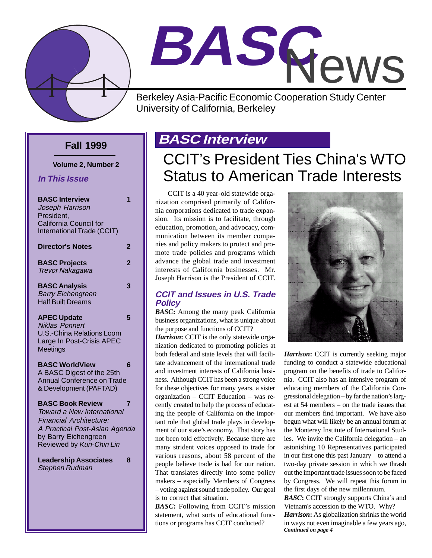

# **BASC** News

Berkeley Asia-Pacific Economic Cooperation Study Center University of California, Berkeley

### **Fall 1999**

**Volume 2, Number 2**

**In This Issue**

| <b>BASC Interview</b><br>Joseph Harrison<br>President,<br>California Council for                                                                                                    | 1              |
|-------------------------------------------------------------------------------------------------------------------------------------------------------------------------------------|----------------|
| International Trade (CCIT)<br><b>Director's Notes</b>                                                                                                                               | 2              |
| <b>BASC Projects</b><br><b>Trevor Nakagawa</b>                                                                                                                                      | $\overline{2}$ |
| <b>BASC Analysis</b><br><b>Barry Eichengreen</b><br><b>Half Built Dreams</b>                                                                                                        | 3              |
| <b>APEC Update</b><br><b>Niklas Ponnert</b><br>U.S.-China Relations Loom<br>Large In Post-Crisis APEC<br>Meetings                                                                   | 5              |
| <b>BASC WorldView</b><br>A BASC Digest of the 25th<br><b>Annual Conference on Trade</b><br>& Development (PAFTAD)                                                                   | 6              |
| <b>BASC Book Review</b><br><b>Toward a New International</b><br><b>Financial Architecture:</b><br>A Practical Post-Asian Agenda<br>by Barry Eichengreen<br>Reviewed by Kun-Chin Lin | 7              |
| <b>Leadership Associates</b><br><b>Stephen Rudman</b>                                                                                                                               | 8              |

# **BASC Interview**

# CCIT's President Ties China's WTO Status to American Trade Interests

CCIT is a 40 year-old statewide organization comprised primarily of California corporations dedicated to trade expansion. Its mission is to facilitate, through education, promotion, and advocacy, communication between its member companies and policy makers to protect and promote trade policies and programs which advance the global trade and investment interests of California businesses. Mr. Joseph Harrison is the President of CCIT.

#### **CCIT and Issues in U.S. Trade Policy**

*BASC***:** Among the many peak California business organizations, what is unique about the purpose and functions of CCIT?

*Harrison***:** CCIT is the only statewide organization dedicated to promoting policies at both federal and state levels that will facilitate advancement of the international trade and investment interests of California business. Although CCIT has been a strong voice for these objectives for many years, a sister organization – CCIT Education – was recently created to help the process of educating the people of California on the important role that global trade plays in development of our state's economy. That story has not been told effectively. Because there are many strident voices opposed to trade for various reasons, about 58 percent of the people believe trade is bad for our nation. That translates directly into some policy makers – especially Members of Congress – voting against sound trade policy. Our goal is to correct that situation.

*BASC***:** Following from CCIT's mission statement, what sorts of educational functions or programs has CCIT conducted?



*Harrison***:** CCIT is currently seeking major funding to conduct a statewide educational program on the benefits of trade to California. CCIT also has an intensive program of educating members of the California Congressional delegation – by far the nation's largest at 54 members – on the trade issues that our members find important. We have also begun what will likely be an annual forum at the Monterey Institute of International Studies. We invite the California delegation – an astonishing 10 Representatives participated in our first one this past January – to attend a two-day private session in which we thrash out the important trade issues soon to be faced by Congress. We will repeat this forum in the first days of the new millennium.

*Continued on page 4 BASC***:** CCIT strongly supports China's and Vietnam's accession to the WTO. Why? *Harrison***:** As globalization shrinks the world in ways not even imaginable a few years ago,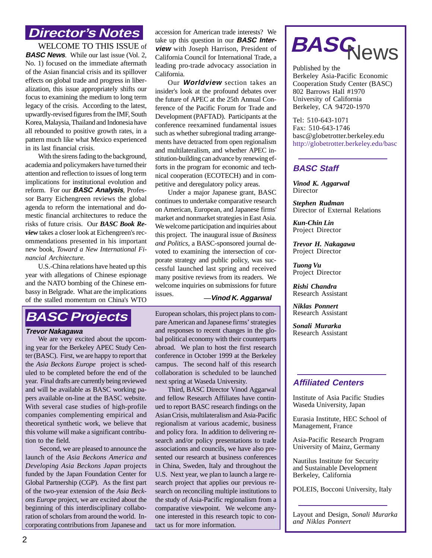### **Director's Notes**

WELCOME TO THIS ISSUE of **BASC News.** While our last issue (Vol. 2, No. 1) focused on the immediate aftermath of the Asian financial crisis and its spillover effects on global trade and progress in liberalization, this issue appropriately shifts our focus to examining the medium to long term legacy of the crisis. According to the latest, upwardly-revised figures from the IMF, South Korea, Malaysia, Thailand and Indonesia have all rebounded to positive growth rates, in a pattern much like what Mexico experienced in its last financial crisis.

With the sirens fading to the background, academia and policymakers have turned their attention and reflection to issues of long term implications for institutional evolution and reform. For our **BASC Analysis**, Professor Barry Eichengreen reviews the global agenda to reform the international and domestic financial architectures to reduce the risks of future crisis. Our *BASC Book Review* takes a closer look at Eichengreen's recommendations presented in his important new book, *Toward a New International Financial Architecture.*

U.S.-China relations have heated up this year with allegations of Chinese espionage and the NATO bombing of the Chinese embassy in Belgrade. What are the implications of the stalled momentum on China's WTO take up this question in our **BASC Interview** with Joseph Harrison, President of California Council for International Trade, a leading pro-trade advocacy association in California. accession for American trade interests? We

Our **Worldview** section takes an insider's look at the profound debates over the future of APEC at the 25th Annual Conference of the Pacific Forum for Trade and Development (PAFTAD). Participants at the conference reexamined fundamental issues such as whether subregional trading arrangements have detracted from open regionalism and multilateralism, and whether APEC institution-building can advance by renewing efforts in the program for economic and technical cooperation (ECOTECH) and in competitive and deregulatory policy areas.

Under a major Japanese grant, BASC continues to undertake comparative research on American, European, and Japanese firms' market and nonmarket strategies in East Asia. We welcome participation and inquiries about this project. The inaugural issue of *Business and Politics*, a BASC-sponsored journal devoted to examining the intersection of corporate strategy and public policy, was successful launched last spring and received many positive reviews from its readers. We welcome inquiries on submissions for future

#### **—Vinod K. Aggarwal**

European scholars, this project plans to compare American and Japanese firms' strategies and responses to recent changes in the global political economy with their counterparts abroad. We plan to host the first research conference in October 1999 at the Berkeley campus. The second half of this research collaboration is scheduled to be launched next spring at Waseda University.

issues.

Third, BASC Director Vinod Aggarwal and fellow Research Affiliates have continued to report BASC research findings on the Asian Crisis, multilateralism and Asia-Pacific regionalism at various academic, business and policy fora. In addition to delivering research and/or policy presentations to trade associations and councils, we have also presented our research at business conferences in China, Sweden, Italy and throughout the U.S. Next year, we plan to launch a large research project that applies our previous research on reconciling multiple institutions to the study of Asia-Pacific regionalism from a comparative viewpoint. We welcome anyone interested in this research topic to contact us for more information.



Published by the Berkeley Asia-Pacific Economic Cooperation Study Center (BASC) 802 Barrows Hall #1970 University of California Berkeley, CA 94720-1970

Tel: 510-643-1071 Fax: 510-643-1746 basc@globetrotter.berkeley.edu http://globetrotter.berkeley.edu/basc

#### **BASC Staff**

*Vinod K. Aggarwal* Director

*Stephen Rudman* Director of External Relations

*Kun-Chin Lin* Project Director

*Trevor H. Nakagawa* Project Director

*Tuong Vu* Project Director

*Rishi Chandra* Research Assistant

*Niklas Ponnert* Research Assistant

*Sonali Murarka* Research Assistant

#### **Affiliated Centers**

Institute of Asia Pacific Studies Waseda University, Japan

Eurasia Institute, HEC School of Management, France

Asia-Pacific Research Program University of Mainz, Germany

Nautilus Institute for Security and Sustainable Development Berkeley, California

POLEIS, Bocconi University, Italy

Layout and Design, *Sonali Murarka and Niklas Ponnert*

# **BASC Projects**

#### **Trevor Nakagawa**

We are very excited about the upcoming year for the Berkeley APEC Study Center (BASC). First, we are happy to report that the *Asia Beckons Europe* project is scheduled to be completed before the end of the year. Final drafts are currently being reviewed and will be available as BASC working papers available on-line at the BASC website. With several case studies of high-profile companies complementing empirical and theoretical synthetic work, we believe that this volume will make a significant contribution to the field.

 Second, we are pleased to announce the launch of the *Asia Beckons America and Developing Asia Beckons Japan* projects funded by the Japan Foundation Center for Global Partnership (CGP). As the first part of the two-year extension of the *Asia Beckons Europe* project, we are excited about the beginning of this interdisciplinary collaboration of scholars from around the world. Incorporating contributions from Japanese and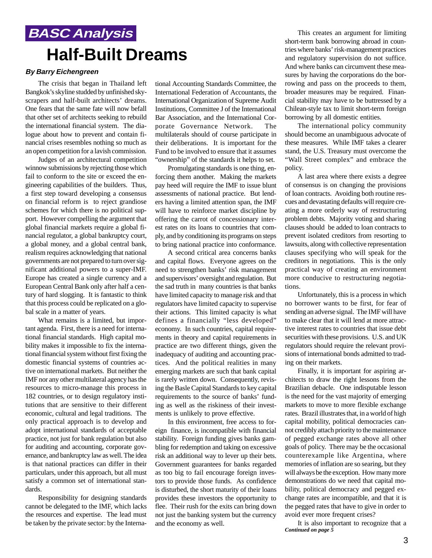# **BASC Analysis Half-Built Dreams**

#### **By Barry Eichengreen**

The crisis that began in Thailand left Bangkok's skyline studded by unfinished skyscrapers and half-built architects' dreams. One fears that the same fate will now befall that other set of architects seeking to rebuild the international financial system. The dialogue about how to prevent and contain financial crises resembles nothing so much as an open competition for a lavish commission.

Judges of an architectural competition winnow submissions by rejecting those which fail to conform to the site or exceed the engineering capabilities of the builders. Thus, a first step toward developing a consensus on financial reform is to reject grandiose schemes for which there is no political support. However compelling the argument that global financial markets require a global financial regulator, a global bankruptcy court, a global money, and a global central bank, realism requires acknowledging that national governments are not prepared to turn over significant additional powers to a super-IMF. Europe has created a single currency and a European Central Bank only after half a century of hard slogging. It is fantastic to think that this process could be replicated on a global scale in a matter of years.

What remains is a limited, but important agenda. First, there is a need for international financial standards. High capital mobility makes it impossible to fix the international financial system without first fixing the domestic financial systems of countries active on international markets. But neither the IMF nor any other multilateral agency has the resources to micro-manage this process in 182 countries, or to design regulatory institutions that are sensitive to their different economic, cultural and legal traditions. The only practical approach is to develop and adopt international standards of acceptable practice, not just for bank regulation but also for auditing and accounting, corporate governance, and bankruptcy law as well. The idea is that national practices can differ in their particulars, under this approach, but all must satisfy a common set of international standards.

Responsibility for designing standards cannot be delegated to the IMF, which lacks the resources and expertise. The lead must be taken by the private sector: by the International Accounting Standards Committee, the International Federation of Accountants, the International Organization of Supreme Audit Institutions, Committee J of the International Bar Association, and the International Corporate Governance Network. The multilaterals should of course participate in their deliberations. It is important for the Fund to be involved to ensure that it assumes "ownership" of the standards it helps to set.

Promulgating standards is one thing, enforcing them another. Making the markets pay heed will require the IMF to issue blunt assessments of national practice. But lenders having a limited attention span, the IMF will have to reinforce market discipline by offering the carrot of concessionary interest rates on its loans to countries that comply, and by conditioning its programs on steps to bring national practice into conformance.

A second critical area concerns banks and capital flows. Everyone agrees on the need to strengthen banks' risk management and supervisors' oversight and regulation. But the sad truth in many countries is that banks have limited capacity to manage risk and that regulators have limited capacity to supervise their actions. This limited capacity is what defines a financially "less developed" economy. In such countries, capital requirements in theory and capital requirements in practice are two different things, given the inadequacy of auditing and accounting practices. And the political realities in many emerging markets are such that bank capital is rarely written down. Consequently, revising the Basle Capital Standards to key capital requirements to the source of banks' funding as well as the riskiness of their investments is unlikely to prove effective.

In this environment, free access to foreign finance, is incompatible with financial stability. Foreign funding gives banks gambling for redemption and taking on excessive risk an additional way to lever up their bets. Government guarantees for banks regarded as too big to fail encourage foreign investors to provide those funds. As confidence is disturbed, the short maturity of their loans provides these investors the opportunity to flee. Their rush for the exits can bring down not just the banking system but the currency and the economy as well.

This creates an argument for limiting short-term bank borrowing abroad in countries where banks' risk-management practices and regulatory supervision do not suffice. And where banks can circumvent these measures by having the corporations do the borrowing and pass on the proceeds to them, broader measures may be required. Financial stability may have to be buttressed by a Chilean-style tax to limit short-term foreign borrowing by all domestic entities.

The international policy community should become an unambiguous advocate of these measures. While IMF takes a clearer stand, the U.S. Treasury must overcome the "Wall Street complex" and embrace the policy.

A last area where there exists a degree of consensus is on changing the provisions of loan contracts. Avoiding both routine rescues and devastating defaults will require creating a more orderly way of restructuring problem debts. Majority voting and sharing clauses should be added to loan contracts to prevent isolated creditors from resorting to lawsuits, along with collective representation clauses specifying who will speak for the creditors in negotiations. This is the only practical way of creating an environment more conducive to restructuring negotiations.

Unfortunately, this is a process in which no borrower wants to be first, for fear of sending an adverse signal. The IMF will have to make clear that it will lend at more attractive interest rates to countries that issue debt securities with these provisions. U.S. and UK regulators should require the relevant provisions of international bonds admitted to trading on their markets.

Finally, it is important for aspiring architects to draw the right lessons from the Brazilian debacle. One indisputable lesson is the need for the vast majority of emerging markets to move to more flexible exchange rates. Brazil illustrates that, in a world of high capital mobility, political democracies cannot credibly attach priority to the maintenance of pegged exchange rates above all other goals of policy. There may be the occasional counterexample like Argentina, where memories of inflation are so searing, but they will always be the exception. How many more demonstrations do we need that capital mobility, political democracy and pegged exchange rates are incompatible, and that it is the pegged rates that have to give in order to avoid ever more frequent crises?

*Continued on page 5* It is also important to recognize that a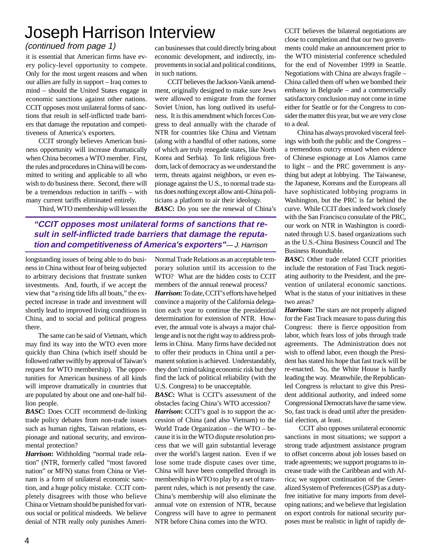# Joseph Harrison Interview

#### (continued from page 1)

it is essential that American firms have every policy-level opportunity to compete. Only for the most urgent reasons and when our allies are fully in support – Iraq comes to mind – should the United States engage in economic sanctions against other nations. CCIT opposes most unilateral forms of sanctions that result in self-inflicted trade barriers that damage the reputation and competitiveness of America's exporters.

CCIT strongly believes American business opportunity will increase dramatically when China becomes a WTO member. First, the rules and procedures in China will be committed to writing and applicable to all who wish to do business there. Second, there will be a tremendous reduction in tariffs – with many current tariffs eliminated entirely.

Third, WTO membership will lessen the

can businesses that could directly bring about economic development, and indirectly, improvements in social and political conditions, in such nations.

CCIT believes the Jackson-Vanik amendment, originally designed to make sure Jews were allowed to emigrate from the former Soviet Union, has long outlived its usefulness. It is this amendment which forces Congress to deal annually with the charade of NTR for countries like China and Vietnam (along with a handful of other nations, some of which are truly renegade states, like North Korea and Serbia). To link religious freedom, lack of democracy as we understand the term, threats against neighbors, or even espionage against the U.S., to normal trade status does nothing except allow anti-China politicians a platform to air their ideology.

*BASC***:** Do you see the renewal of China's

### **"CCIT opposes most unilateral forms of sanctions that result in self-inflicted trade barriers that damage the reputation and competitiveness of America's exporters"**— J. Harrison

longstanding issues of being able to do business in China without fear of being subjected to arbitrary decisions that frustrate sunken investments. And, fourth, if we accept the view that "a rising tide lifts all boats," the expected increase in trade and investment will shortly lead to improved living conditions in China, and to social and political progress there.

The same can be said of Vietnam, which may find its way into the WTO even more quickly than China (which itself should be followed rather swiftly by approval of Taiwan's request for WTO membership). The opportunities for American business of all kinds will improve dramatically in countries that are populated by about one and one-half billion people.

*BASC***:** Does CCIT recommend de-linking trade policy debates from non-trade issues such as human rights, Taiwan relations, espionage and national security, and environmental protection?

*Harrison***:** Withholding "normal trade relation" (NTR, formerly called "most favored nation" or MFN) status from China or Vietnam is a form of unilateral economic sanction, and a huge policy mistake. CCIT completely disagrees with those who believe China or Vietnam should be punished for various social or political misdeeds. We believe denial of NTR really only punishes AmeriNormal Trade Relations as an acceptable temporary solution until its accession to the WTO? What are the hidden costs to CCIT members of the annual renewal process?

*Harrison***:** To date, CCIT's efforts have helped convince a majority of the California delegation each year to continue the presidential determination for extension of NTR. However, the annual vote is always a major challenge and is not the right way to address problems in China. Many firms have decided not to offer their products in China until a permanent solution is achieved. Understandably, they don't mind taking economic risk but they find the lack of political reliability (with the U.S. Congress) to be unacceptable.

**BASC**: What is CCIT's assessment of the obstacles facing China's WTO accession?

*Harrison*: CCIT's goal is to support the accession of China (and also Vietnam) to the World Trade Organization – the WTO – because it is in the WTO dispute resolution process that we will gain substantial leverage over the world's largest nation. Even if we lose some trade dispute cases over time, China will have been compelled through its membership in WTO to play by a set of transparent rules, which is not presently the case. China's membership will also eliminate the annual vote on extension of NTR, because Congress will have to agree to permanent NTR before China comes into the WTO.

CCIT believes the bilateral negotiations are close to completion and that our two governments could make an announcement prior to the WTO ministerial conference scheduled for the end of November 1999 in Seattle. Negotiations with China are always fragile – China called them off when we bombed their embassy in Belgrade – and a commercially satisfactory conclusion may not come in time either for Seattle or for the Congress to consider the matter this year, but we are very close to a deal.

China has always provoked visceral feelings with both the public and the Congress – a tremendous outcry ensued when evidence of Chinese espionage at Los Alamos came to light – and the PRC government is anything but adept at lobbying. The Taiwanese, the Japanese, Koreans and the Europeans all have sophisticated lobbying programs in Washington, but the PRC is far behind the curve. While CCIT does indeed work closely with the San Francisco consulate of the PRC, our work on NTR in Washington is coordinated through U.S. based organizations such as the U.S.-China Business Council and The Business Roundtable.

**BASC**: Other trade related CCIT priorities include the restoration of Fast Track negotiating authority to the President, and the prevention of unilateral economic sanctions. What is the status of your initiatives in these two areas?

*Harrison***:** The stars are not properly aligned for the Fast Track measure to pass during this Congress: there is fierce opposition from labor, which fears loss of jobs through trade agreements. The Administration does not wish to offend labor, even though the President has stated his hope that fast track will be re-enacted. So, the White House is hardly leading the way. Meanwhile, the Republicanled Congress is reluctant to give this President additional authority, and indeed some Congressional Democrats have the same view. So, fast track is dead until after the presidential election, at least.

 CCIT also opposes unilateral economic sanctions in most situations; we support a strong trade adjustment assistance program to offset concerns about job losses based on trade agreements; we support programs to increase trade with the Caribbean and with Africa; we support continuation of the Generalized System of Preferences (GSP) as a dutyfree initiative for many imports from developing nations; and we believe that legislation on export controls for national security purposes must be realistic in light of rapidly de-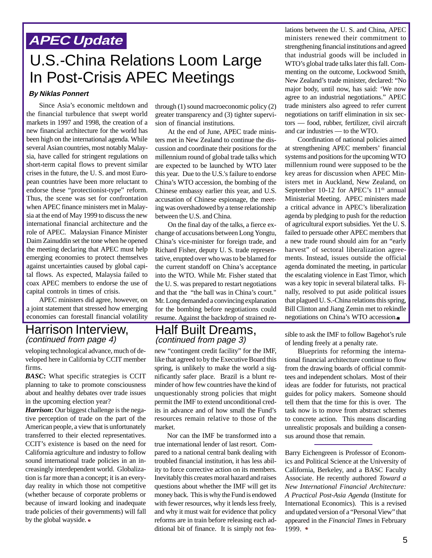## **APEC Update**

# U.S.-China Relations Loom Large In Post-Crisis APEC Meetings

#### **By Niklas Ponnert**

Since Asia's economic meltdown and the financial turbulence that swept world markets in 1997 and 1998, the creation of a new financial architecture for the world has been high on the international agenda. While several Asian countries, most notably Malaysia, have called for stringent regulations on short-term capital flows to prevent similar crises in the future, the U. S. and most European countries have been more reluctant to endorse these "protectionist-type" reform. Thus, the scene was set for confrontation when APEC finance ministers met in Malaysia at the end of May 1999 to discuss the new international financial architecture and the role of APEC. Malaysian Finance Minister Daim Zainuddin set the tone when he opened the meeting declaring that APEC must help emerging economies to protect themselves against uncertainties caused by global capital flows. As expected, Malaysia failed to coax APEC members to endorse the use of capital controls in times of crisis.

APEC ministers did agree, however, on a joint statement that stressed how emerging economies can forestall financial volatility

#### Harrison Interview, (continued from page 4)

veloping technological advance, much of developed here in California by CCIT member firms.

*BASC***:** What specific strategies is CCIT planning to take to promote consciousness about and healthy debates over trade issues in the upcoming election year?

*Harrison***:** Our biggest challenge is the negative perception of trade on the part of the American people, a view that is unfortunately transferred to their elected representatives. CCIT's existence is based on the need for California agriculture and industry to follow sound international trade policies in an increasingly interdependent world. Globalization is far more than a concept; it is an everyday reality in which those not competitive (whether because of corporate problems or because of inward looking and inadequate trade policies of their governments) will fall by the global wayside.

through (1) sound macroeconomic policy (2) greater transparency and (3) tighter supervision of financial institutions.

At the end of June, APEC trade ministers met in New Zealand to continue the discussion and coordinate their positions for the millennium round of global trade talks which are expected to be launched by WTO later this year. Due to the U.S.'s failure to endorse China's WTO accession, the bombing of the Chinese embassy earlier this year, and U.S. accusation of Chinese espionage, the meeting was overshadowed by a tense relationship between the U.S. and China.

On the final day of the talks, a fierce exchange of accusations between Long Yongtu, China's vice-minister for foreign trade, and Richard Fisher, deputy U. S. trade representative, erupted over who was to be blamed for the current standoff on China's acceptance into the WTO. While Mr. Fisher stated that the U. S. was prepared to restart negotiations and that the "the ball was in China's court." Mr. Long demanded a convincing explanation for the bombing before negotiations could resume. Against the backdrop of strained re-

### Half Built Dreams, (continued from page 3)

new "contingent credit facility" for the IMF, like that agreed to by the Executive Board this spring, is unlikely to make the world a significantly safer place. Brazil is a blunt reminder of how few countries have the kind of unquestionably strong policies that might permit the IMF to extend unconditional credits in advance and of how small the Fund's resources remain relative to those of the market.

Nor can the IMF be transformed into a true international lender of last resort. Compared to a national central bank dealing with troubled financial institution, it has less ability to force corrective action on its members. Inevitably this creates moral hazard and raises questions about whether the IMF will get its money back. This is why the Fund is endowed with fewer resources, why it lends less freely, and why it must wait for evidence that policy reforms are in train before releasing each additional bit of finance. It is simply not fealations between the U. S. and China, APEC ministers renewed their commitment to strengthening financial institutions and agreed that industrial goods will be included in WTO's global trade talks later this fall. Commenting on the outcome, Lockwood Smith, New Zealand's trade minister, declared: "No major body, until now, has said: 'We now agree to an industrial negotiations." APEC trade ministers also agreed to refer current negotiations on tariff elimination in six sectors — food, rubber, fertilizer, civil aircraft and car industries — to the WTO.

Coordination of national policies aimed at strengthening APEC members' financial systems and positions for the upcoming WTO millennium round were supposed to be the key areas for discussion when APEC Ministers met in Auckland, New Zealand, on September 10-12 for APEC's 11<sup>th</sup> annual Ministerial Meeting. APEC ministers made a critical advance in APEC's liberalization agenda by pledging to push for the reduction of agricultural export subsidies. Yet the U. S. failed to persuade other APEC members that a new trade round should aim for an "early harvest" of sectoral liberalization agreements. Instead, issues outside the official agenda dominated the meeting, in particular the escalating violence in East Timor, which was a key topic in several bilateral talks. Finally, resolved to put aside political issues that plagued U. S.-China relations this spring, Bill Clinton and Jiang Zemin met to rekindle negotiations on China's WTO accession.

sible to ask the IMF to follow Bagehot's rule of lending freely at a penalty rate.

Blueprints for reforming the international financial architecture continue to flow from the drawing boards of official committees and independent scholars. Most of their ideas are fodder for futurists, not practical guides for policy makers. Someone should tell them that the time for this is over. The task now is to move from abstract schemes to concrete action. This means discarding unrealistic proposals and building a consensus around those that remain.

Barry Eichengreen is Professor of Economics and Political Science at the University of California, Berkeley, and a BASC Faculty Associate. He recently authored *Toward a New International Financial Architecture: A Practical Post-Asia Agenda* (Institute for International Economics). This is a revised and updated version of a "Personal View" that appeared in the *Financial Times* in February 1999. ●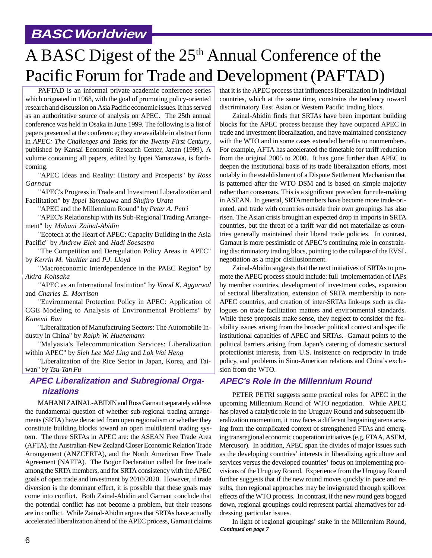### **BASC Worldview**

# A BASC Digest of the 25<sup>th</sup> Annual Conference of the Pacific Forum for Trade and Development (PAFTAD)

PAFTAD is an informal private academic conference series which orignated in 1968, with the goal of promoting policy-oriented research and discussion on Asia Pacific economic issues. It has served as an authoritative source of analysis on APEC. The 25th annual conference was held in Osaka in June 1999. The following is a list of papers presented at the conference; they are available in abstract form in *APEC: The Challenges and Tasks for the Twenty First Century*, published by Kansai Economic Research Center, Japan (1999). A volume containing all papers, edited by Ippei Yamazawa, is forthcoming.

"APEC Ideas and Reality: History and Prospects" by *Ross Garnaut*

"APEC's Progress in Trade and Investment Liberalization and Facilitation" by *Ippei Yamazawa* and *Shujiro Urata*

"APEC and the Millennium Round" by *Peter A. Petri*

"APEC's Relationship with its Sub-Regional Trading Arrangement" by *Mahani Zainal-Abidin*

"Ecotech at the Heart of APEC: Capacity Building in the Asia Pacific" by *Andrew Elek* and *Hadi Soesastro*

"The Competition and Deregulation Policy Areas in APEC" by *Kerrin M. Vaultier* and *P.J. Lloyd*

"Macroeconomic Interdependence in the PAEC Region" by *Akira Kohsaka*

"APEC as an International Institution" by *Vinod K. Aggarwal* and *Charles E. Morrison*

"Environmental Protection Policy in APEC: Application of CGE Modeling to Analysis of Environmental Problems" by *Kanemi Ban*

"Liberalization of Manufactruing Sectors: The Automobile Industry in China" by *Ralph W. Huenemann*

"Malyasia's Telecommunication Services: Liberalization within APEC" by *Sieh Lee Mei Ling* and *Lok Wai Heng*

"Liberalization of the Rice Sector in Japan, Korea, and Taiwan" by *Tsu-Tan Fu*

### **APEC Liberalization and Subregional Organizations**

MAHANI ZAINAL-ABIDIN and Ross Garnaut separately address the fundamental question of whether sub-regional trading arrangements (SRTA) have detracted from open regionalism or whether they constitute building blocks toward an open multilateral trading system. The three SRTAs in APEC are: the ASEAN Free Trade Area (AFTA), the Australian-New Zealand Closer Economic Relation Trade Arrangement (ANZCERTA), and the North American Free Trade Agreement (NAFTA). The Bogor Declaration called for free trade among the SRTA members, and for SRTA consistency with the APEC goals of open trade and investment by 2010/2020. However, if trade diversion is the dominant effect, it is possible that these goals may come into conflict. Both Zainal-Abidin and Garnaut conclude that the potential conflict has not become a problem, but their reasons are in conflict. While Zainal-Abidin argues that SRTAs have actually accelerated liberalization ahead of the APEC process, Garnaut claims

that it is the APEC process that influences liberalization in individual countries, which at the same time, constrains the tendency toward discriminatory East Asian or Western Pacific trading blocs.

Zainal-Abidin finds that SRTAs have been important building blocks for the APEC process because they have outpaced APEC in trade and investment liberalization, and have maintained consistency with the WTO and in some cases extended benefits to nonmembers. For example, AFTA has accelerated the timetable for tariff reduction from the original 2005 to 2000. It has gone further than APEC to deepen the institutional basis of its trade liberalization efforts, most notably in the establishment of a Dispute Settlement Mechanism that is patterned after the WTO DSM and is based on simple majority rather than consensus. This is a significant precedent for rule-making in ASEAN. In general, SRTAmembers have become more trade-oriented, and trade with countries outside their own groupings has also risen. The Asian crisis brought an expected drop in imports in SRTA countries, but the threat of a tariff war did not materialize as countries generally maintained their liberal trade policies. In contrast, Garnaut is more pessimistic of APEC's continuing role in constraining discriminatory trading blocs, pointing to the collapse of the EVSL negotiation as a major disillusionment.

Zainal-Abidin suggests that the next initiatives of SRTAs to promote the APEC process should include: full implementation of IAPs by member countries, development of investment codes, expansion of sectoral liberalization, extension of SRTA membership to non-APEC countries, and creation of inter-SRTAs link-ups such as dialogues on trade facilitation matters and environmental standards. While these proposals make sense, they neglect to consider the feasibility issues arising from the broader political context and specific institutional capacities of APEC and SRTAs. Garnaut points to the political barriers arising from Japan's catering of domestic sectoral protectionist interests, from U.S. insistence on reciprocity in trade policy, and problems in Sino-American relations and China's exclusion from the WTO.

#### **APEC's Role in the Millennium Round**

PETER PETRI suggests some practical roles for APEC in the upcoming Millennium Round of WTO negotiation. While APEC has played a catalytic role in the Uruguay Round and subsequent liberalization momentum, it now faces a different bargaining arena arising from the complicated context of strengthened FTAs and emerging transregional economic cooperation initiatives (e.g. FTAA, ASEM, Mercusor). In addition, APEC span the divides of major issues such as the developing countries' interests in liberalizing agriculture and services versus the developed countries' focus on implementing provisions of the Uruguay Round. Experience from the Uruguay Round further suggests that if the new round moves quickly in pace and results, then regional approaches may be invigorated through spillover effects of the WTO process. In contrast, if the new round gets bogged down, regional groupings could represent partial alternatives for addressing particular issues.

*Continued on page 7* In light of regional groupings' stake in the Millennium Round,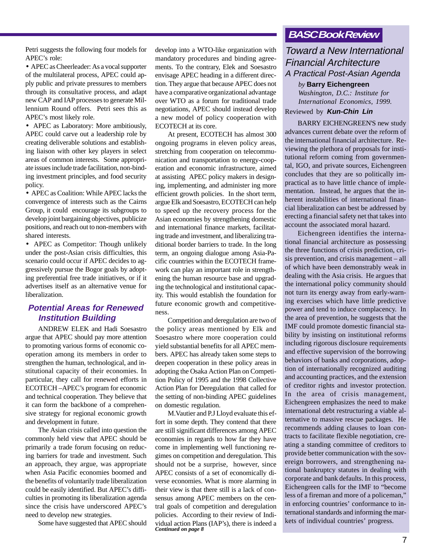Petri suggests the following four models for APEC's role:

• APEC as Cheerleader: As a vocal supporter of the multilateral process, APEC could apply public and private pressures to members through its consultative process, and adapt new CAP and IAP processes to generate Millennium Round offers. Petri sees this as APEC's most likely role.

• APEC as Laboratory: More ambitiously, APEC could carve out a leadership role by creating deliverable solutions and establishing liaison with other key players in select areas of common interests. Some appropriate issues include trade facilitation, non-binding investment principles, and food security policy.

• APEC as Coalition: While APEC lacks the convergence of interests such as the Cairns Group, it could encourage its subgroups to develop joint bargaining objectives, publicize positions, and reach out to non-members with shared interests.

• APEC as Competitor: Though unlikely under the post-Asian crisis difficulties, this scenario could occur if APEC decides to aggressively pursue the Bogor goals by adopting preferential free trade initiatives, or if it advertises itself as an alternative venue for liberalization.

### **Potential Areas for Renewed Institution Building**

ANDREW ELEK and Hadi Soesastro argue that APEC should pay more attention to promoting various forms of economic cooperation among its members in order to strengthen the human, technological, and institutional capacity of their economies. In particular, they call for renewed efforts in ECOTECH –APEC's program for economic and technical cooperation. They believe that it can form the backbone of a comprehensive strategy for regional economic growth and development in future.

The Asian crisis called into question the commonly held view that APEC should be primarily a trade forum focusing on reducing barriers for trade and investment. Such an approach, they argue, was appropriate when Asia Pacific economies boomed and the benefits of voluntarily trade liberalization could be easily identified. But APEC's difficulties in promoting its liberalization agenda since the crisis have underscored APEC's need to develop new strategies.

Some have suggested that APEC should

develop into a WTO-like organization with mandatory procedures and binding agreements. To the contrary, Elek and Soesastro envisage APEC heading in a different direction. They argue that because APEC does not have a comparative organizational advantage over WTO as a forum for traditional trade negotiations, APEC should instead develop a new model of policy cooperation with ECOTECH at its core.

At present, ECOTECH has almost 300 ongoing programs in eleven policy areas, stretching from cooperation on telecommunication and transportation to energy-cooperation and economic infrastructure, aimed at assisting APEC policy makers in designing, implementing, and administer ing more efficient growth policies. In the short term, argue Elk and Soesastro, ECOTECH can help to speed up the recovery process for the Asian economies by strengthening domestic and international finance markets, facilitating trade and investment, and liberalizing traditional border barriers to trade. In the long term, an ongoing dialogue among Asia-Pacific countries within the ECOTECH framework can play an important role in strengthening the human resource base and upgrading the technological and institutional capacity. This would establish the foundation for future economic growth and competitiveness.

Competition and deregulation are two of the policy areas mentioned by Elk and Soesastro where more cooperation could yield substantial benefits for all APEC members. APEC has already taken some steps to deepen cooperation in these policy areas in adopting the Osaka Action Plan on Competition Policy of 1995 and the 1998 Collective Action Plan for Deregulation that called for the setting of non-binding APEC guidelines on domestic regulation.

*Continued on page 8* M.Vautier and P.J Lloyd evaluate this effort in some depth. They contend that there are still significant differences among APEC economies in regards to how far they have come in implementing well functioning regimes on competition and deregulation. This should not be a surprise, however, since APEC consists of a set of economically diverse economies. What is more alarming in their view is that there still is a lack of consensus among APEC members on the central goals of competition and deregulation policies. According to their review of Individual action Plans (IAP's), there is indeed a

### **BASC Book Review**

### Toward a New International Financial Architecture A Practical Post-Asian Agenda

*by* **Barry Eichengreen** *Washington, D.C.: Institute for International Economics, 1999.*

#### Reviewed by **Kun-Chin Lin**

BARRY EICHENGREEN'S new study advances current debate over the reform of the international financial architecture. Reviewing the plethora of proposals for institutional reform coming from governmental, IGO, and private sources, Eichengreen concludes that they are so politically impractical as to have little chance of implementation. Instead, he argues that the inherent instabilities of international financial liberalization can best be addressed by erecting a financial safety net that takes into account the associated moral hazard.

Eichengreen identifies the international financial architecture as possessing the three functions of crisis prediction, crisis prevention, and crisis management – all of which have been demonstrably weak in dealing with the Asia crisis. He argues that the international policy community should not turn its energy away from early-warning exercises which have little predictive power and tend to induce complacency. In the area of prevention, he suggests that the IMF could promote domestic financial stability by insisting on institutional reforms including rigorous disclosure requirements and effective supervision of the borrowing behaviors of banks and corporations, adoption of internationally recognized auditing and accounting practices, and the extension of creditor rights and investor protection. In the area of crisis management, Eichengreen emphasizes the need to make international debt restructuring a viable alternative to massive rescue packages. He recommends adding clauses to loan contracts to facilitate flexible negotiation, creating a standing committee of creditors to provide better communication with the sovereign borrowers, and strengthening national bankruptcy statutes in dealing with corporate and bank defaults. In this process, Eichengreen calls for the IMF to "become less of a fireman and more of a policeman," in enforcing countries' conformance to international standards and informing the markets of individual countries' progress.